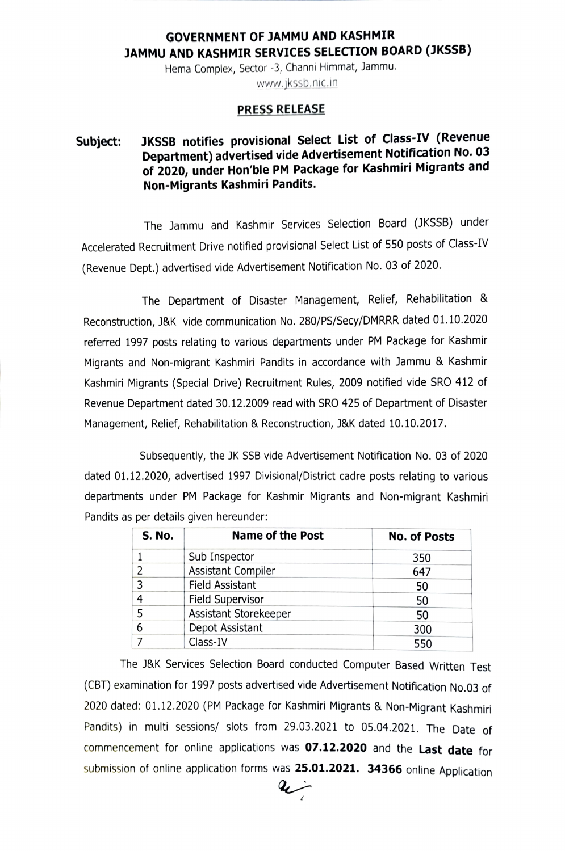## GOVERNMENT OF JAMMU AND KASHMIR JAMMU AND KASHMIR SERVICES SELECTION BOARD (JKSSB)

Hema Complex, Sector -3, Channi Himmat, Jammu. www.jkssb.nic.in

## PRESS RELEASE

## Subject: JKSSB notifies provisional Select List of Class-IV (Revenue Department) advertised vide Advertisement Notification No. 03 of 2020, under Hon'ble PM Package for Kashmiri Migrants and Non-Migrants Kashmiri Pandits.

The Jammu and Kashmir Services Selection Board (JKSSB) under Accelerated Recruitment Drive notified provisional Select List of 550 posts of Class-IV (Revenue Dept.) advertised vide Advertisement Notification No. 03 of 2020.

The Department of Disaster Management, Relief, Rehabilitation & Reconstruction, J&K vide communication No. 280/PS/Secy/DMRRR dated 01.10.2020 referred 1997 posts relating to various departments under PM Package for Kashmir Migrants and Non-migrant Kashmiri Pandits in accordance with Jammu & Kashmir Kashmiri Migrants (Special Drive) Recruitment Rules, 2009 notified vide SRO 412 of Revenue Department dated 30.12.2009 read with SRO 425 of Department of Disaster Management, Relief, Rehabilitation & Reconstruction, J&K dated 10.10.2017.

Subsequently, the JK SSB vide Advertisement Notification No. 03 of 2020 dated 01.12.2020, advertised 1997 Divisional/District cadre posts relating to various departments under PM Package for Kashmir Migrants and Non-migrant Kashmiri Pandits as per details given hereunder:

| <b>S. No.</b> | <b>Name of the Post</b>   | <b>No. of Posts</b> |
|---------------|---------------------------|---------------------|
|               | Sub Inspector             | 350                 |
|               | <b>Assistant Compiler</b> | 647                 |
|               | <b>Field Assistant</b>    | 50                  |
| 4             | Field Supervisor          | 50                  |
|               | Assistant Storekeeper     | 50                  |
| 6             | Depot Assistant           | 300                 |
|               | Class-IV                  | 550                 |

The J&K Services Selection Board conducted Computer Based Written Test (CBT) examination for 1997 posts advertised vide Advertisement Notification No.03 of 2020 dated: 01.12.2020 (PM Package for Kashmiri Migrants & Non-Migrant Kashmiri Pandits) in multi sessions/ slots from 29.03.2021 to 05.04.2021. The Date of commencement for online applications was 07.12.2020 and the Last date for submission of online application forms was 25.01.2021. 34366 online Application